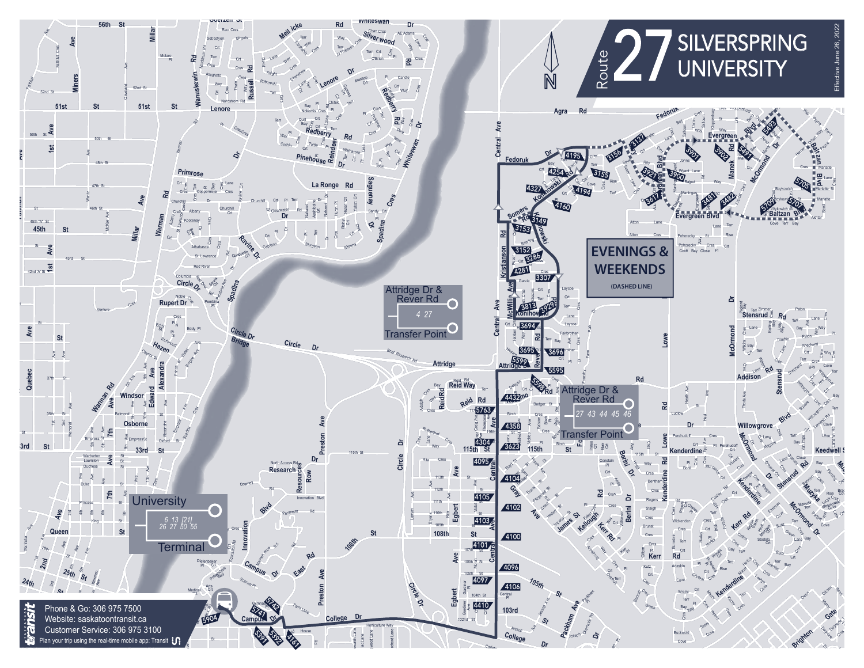